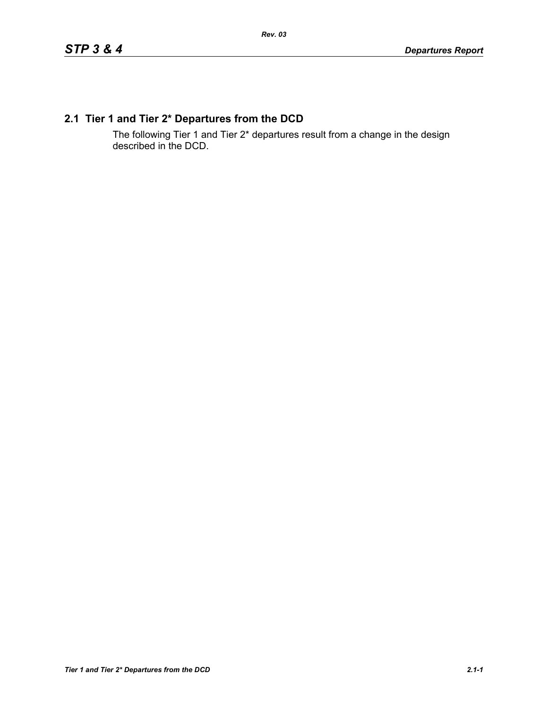# **2.1 Tier 1 and Tier 2\* Departures from the DCD**

The following Tier 1 and Tier 2\* departures result from a change in the design described in the DCD.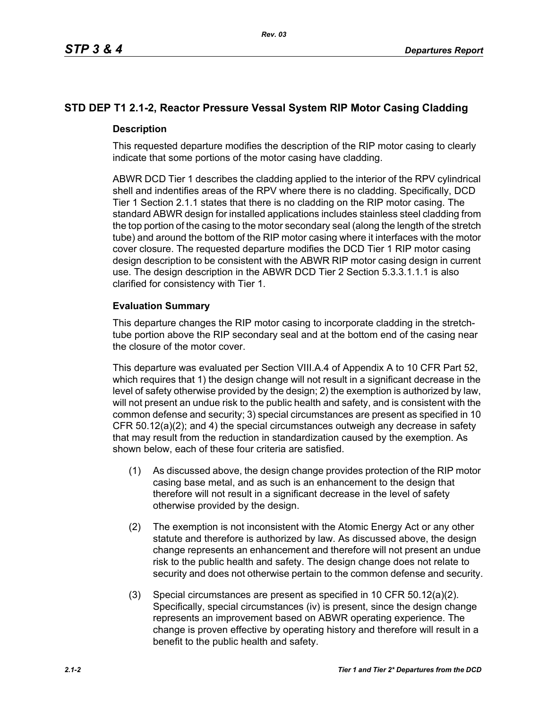# **STD DEP T1 2.1-2, Reactor Pressure Vessal System RIP Motor Casing Cladding**

## **Description**

This requested departure modifies the description of the RIP motor casing to clearly indicate that some portions of the motor casing have cladding.

ABWR DCD Tier 1 describes the cladding applied to the interior of the RPV cylindrical shell and indentifies areas of the RPV where there is no cladding. Specifically, DCD Tier 1 Section 2.1.1 states that there is no cladding on the RIP motor casing. The standard ABWR design for installed applications includes stainless steel cladding from the top portion of the casing to the motor secondary seal (along the length of the stretch tube) and around the bottom of the RIP motor casing where it interfaces with the motor cover closure. The requested departure modifies the DCD Tier 1 RIP motor casing design description to be consistent with the ABWR RIP motor casing design in current use. The design description in the ABWR DCD Tier 2 Section 5.3.3.1.1.1 is also clarified for consistency with Tier 1.

## **Evaluation Summary**

This departure changes the RIP motor casing to incorporate cladding in the stretchtube portion above the RIP secondary seal and at the bottom end of the casing near the closure of the motor cover.

This departure was evaluated per Section VIII.A.4 of Appendix A to 10 CFR Part 52, which requires that 1) the design change will not result in a significant decrease in the level of safety otherwise provided by the design; 2) the exemption is authorized by law, will not present an undue risk to the public health and safety, and is consistent with the common defense and security; 3) special circumstances are present as specified in 10 CFR 50.12(a)(2); and 4) the special circumstances outweigh any decrease in safety that may result from the reduction in standardization caused by the exemption. As shown below, each of these four criteria are satisfied.

- (1) As discussed above, the design change provides protection of the RIP motor casing base metal, and as such is an enhancement to the design that therefore will not result in a significant decrease in the level of safety otherwise provided by the design.
- (2) The exemption is not inconsistent with the Atomic Energy Act or any other statute and therefore is authorized by law. As discussed above, the design change represents an enhancement and therefore will not present an undue risk to the public health and safety. The design change does not relate to security and does not otherwise pertain to the common defense and security.
- (3) Special circumstances are present as specified in 10 CFR 50.12(a)(2). Specifically, special circumstances (iv) is present, since the design change represents an improvement based on ABWR operating experience. The change is proven effective by operating history and therefore will result in a benefit to the public health and safety.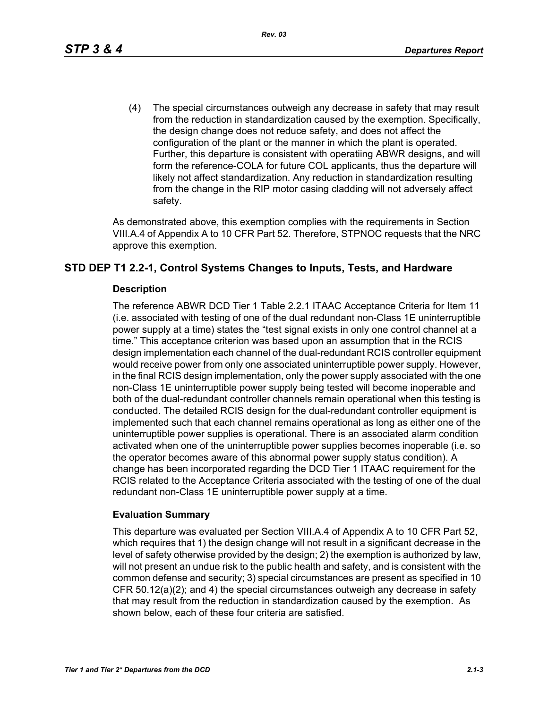(4) The special circumstances outweigh any decrease in safety that may result from the reduction in standardization caused by the exemption. Specifically, the design change does not reduce safety, and does not affect the configuration of the plant or the manner in which the plant is operated. Further, this departure is consistent with operatiing ABWR designs, and will form the reference-COLA for future COL applicants, thus the departure will likely not affect standardization. Any reduction in standardization resulting from the change in the RIP motor casing cladding will not adversely affect safety.

As demonstrated above, this exemption complies with the requirements in Section VIII.A.4 of Appendix A to 10 CFR Part 52. Therefore, STPNOC requests that the NRC approve this exemption.

## **STD DEP T1 2.2-1, Control Systems Changes to Inputs, Tests, and Hardware**

### **Description**

The reference ABWR DCD Tier 1 Table 2.2.1 ITAAC Acceptance Criteria for Item 11 (i.e. associated with testing of one of the dual redundant non-Class 1E uninterruptible power supply at a time) states the "test signal exists in only one control channel at a time." This acceptance criterion was based upon an assumption that in the RCIS design implementation each channel of the dual-redundant RCIS controller equipment would receive power from only one associated uninterruptible power supply. However, in the final RCIS design implementation, only the power supply associated with the one non-Class 1E uninterruptible power supply being tested will become inoperable and both of the dual-redundant controller channels remain operational when this testing is conducted. The detailed RCIS design for the dual-redundant controller equipment is implemented such that each channel remains operational as long as either one of the uninterruptible power supplies is operational. There is an associated alarm condition activated when one of the uninterruptible power supplies becomes inoperable (i.e. so the operator becomes aware of this abnormal power supply status condition). A change has been incorporated regarding the DCD Tier 1 ITAAC requirement for the RCIS related to the Acceptance Criteria associated with the testing of one of the dual redundant non-Class 1E uninterruptible power supply at a time.

### **Evaluation Summary**

This departure was evaluated per Section VIII.A.4 of Appendix A to 10 CFR Part 52, which requires that 1) the design change will not result in a significant decrease in the level of safety otherwise provided by the design; 2) the exemption is authorized by law, will not present an undue risk to the public health and safety, and is consistent with the common defense and security; 3) special circumstances are present as specified in 10 CFR 50.12(a)(2); and 4) the special circumstances outweigh any decrease in safety that may result from the reduction in standardization caused by the exemption. As shown below, each of these four criteria are satisfied.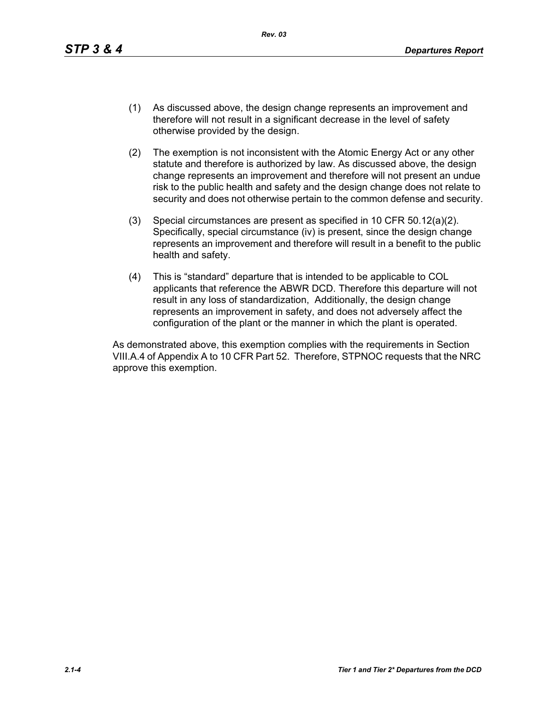- (1) As discussed above, the design change represents an improvement and therefore will not result in a significant decrease in the level of safety otherwise provided by the design.
- (2) The exemption is not inconsistent with the Atomic Energy Act or any other statute and therefore is authorized by law. As discussed above, the design change represents an improvement and therefore will not present an undue risk to the public health and safety and the design change does not relate to security and does not otherwise pertain to the common defense and security.
- (3) Special circumstances are present as specified in 10 CFR 50.12(a)(2). Specifically, special circumstance (iv) is present, since the design change represents an improvement and therefore will result in a benefit to the public health and safety.
- (4) This is "standard" departure that is intended to be applicable to COL applicants that reference the ABWR DCD. Therefore this departure will not result in any loss of standardization, Additionally, the design change represents an improvement in safety, and does not adversely affect the configuration of the plant or the manner in which the plant is operated.

As demonstrated above, this exemption complies with the requirements in Section VIII.A.4 of Appendix A to 10 CFR Part 52. Therefore, STPNOC requests that the NRC approve this exemption.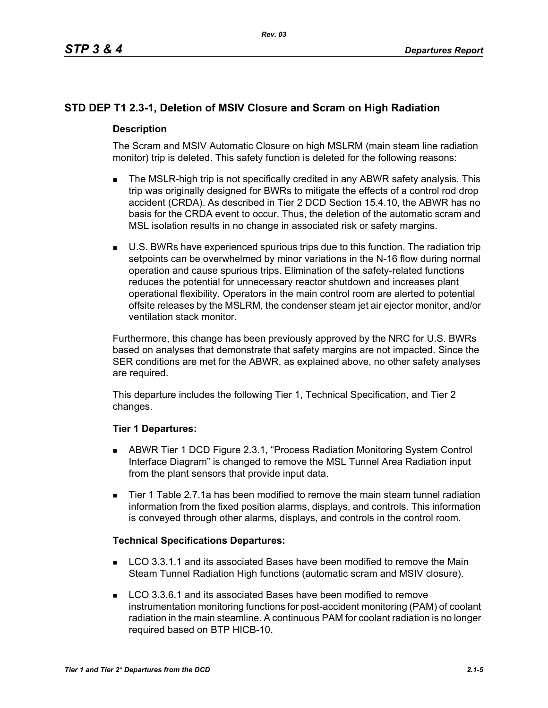# **STD DEP T1 2.3-1, Deletion of MSIV Closure and Scram on High Radiation**

## **Description**

The Scram and MSIV Automatic Closure on high MSLRM (main steam line radiation monitor) trip is deleted. This safety function is deleted for the following reasons:

- The MSLR-high trip is not specifically credited in any ABWR safety analysis. This trip was originally designed for BWRs to mitigate the effects of a control rod drop accident (CRDA). As described in Tier 2 DCD Section 15.4.10, the ABWR has no basis for the CRDA event to occur. Thus, the deletion of the automatic scram and MSL isolation results in no change in associated risk or safety margins.
- U.S. BWRs have experienced spurious trips due to this function. The radiation trip setpoints can be overwhelmed by minor variations in the N-16 flow during normal operation and cause spurious trips. Elimination of the safety-related functions reduces the potential for unnecessary reactor shutdown and increases plant operational flexibility. Operators in the main control room are alerted to potential offsite releases by the MSLRM, the condenser steam jet air ejector monitor, and/or ventilation stack monitor.

Furthermore, this change has been previously approved by the NRC for U.S. BWRs based on analyses that demonstrate that safety margins are not impacted. Since the SER conditions are met for the ABWR, as explained above, no other safety analyses are required.

This departure includes the following Tier 1, Technical Specification, and Tier 2 changes.

## **Tier 1 Departures:**

- ABWR Tier 1 DCD Figure 2.3.1, "Process Radiation Monitoring System Control Interface Diagram" is changed to remove the MSL Tunnel Area Radiation input from the plant sensors that provide input data.
- Tier 1 Table 2.7.1a has been modified to remove the main steam tunnel radiation information from the fixed position alarms, displays, and controls. This information is conveyed through other alarms, displays, and controls in the control room.

### **Technical Specifications Departures:**

- **LCO 3.3.1.1 and its associated Bases have been modified to remove the Main** Steam Tunnel Radiation High functions (automatic scram and MSIV closure).
- **LCO 3.3.6.1 and its associated Bases have been modified to remove** instrumentation monitoring functions for post-accident monitoring (PAM) of coolant radiation in the main steamline. A continuous PAM for coolant radiation is no longer required based on BTP HICB-10.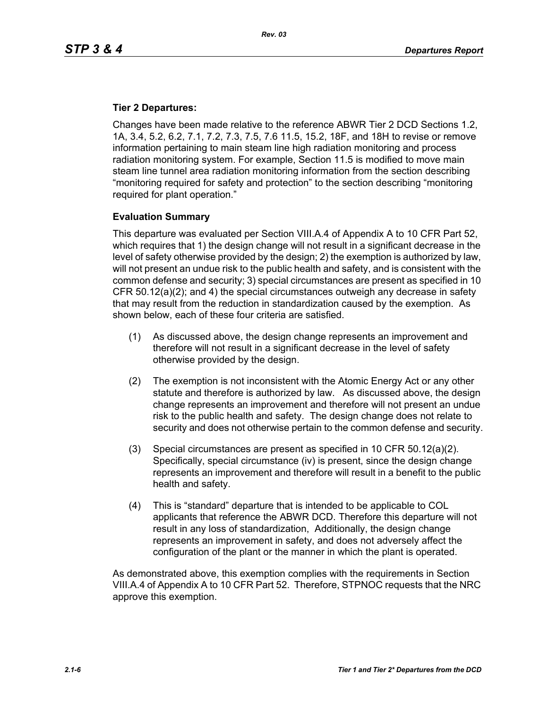### **Tier 2 Departures:**

Changes have been made relative to the reference ABWR Tier 2 DCD Sections 1.2, 1A, 3.4, 5.2, 6.2, 7.1, 7.2, 7.3, 7.5, 7.6 11.5, 15.2, 18F, and 18H to revise or remove information pertaining to main steam line high radiation monitoring and process radiation monitoring system. For example, Section 11.5 is modified to move main steam line tunnel area radiation monitoring information from the section describing "monitoring required for safety and protection" to the section describing "monitoring required for plant operation."

## **Evaluation Summary**

This departure was evaluated per Section VIII.A.4 of Appendix A to 10 CFR Part 52, which requires that 1) the design change will not result in a significant decrease in the level of safety otherwise provided by the design; 2) the exemption is authorized by law, will not present an undue risk to the public health and safety, and is consistent with the common defense and security; 3) special circumstances are present as specified in 10 CFR 50.12(a)(2); and 4) the special circumstances outweigh any decrease in safety that may result from the reduction in standardization caused by the exemption. As shown below, each of these four criteria are satisfied.

- (1) As discussed above, the design change represents an improvement and therefore will not result in a significant decrease in the level of safety otherwise provided by the design.
- (2) The exemption is not inconsistent with the Atomic Energy Act or any other statute and therefore is authorized by law. As discussed above, the design change represents an improvement and therefore will not present an undue risk to the public health and safety. The design change does not relate to security and does not otherwise pertain to the common defense and security.
- (3) Special circumstances are present as specified in 10 CFR 50.12(a)(2). Specifically, special circumstance (iv) is present, since the design change represents an improvement and therefore will result in a benefit to the public health and safety.
- (4) This is "standard" departure that is intended to be applicable to COL applicants that reference the ABWR DCD. Therefore this departure will not result in any loss of standardization, Additionally, the design change represents an improvement in safety, and does not adversely affect the configuration of the plant or the manner in which the plant is operated.

As demonstrated above, this exemption complies with the requirements in Section VIII.A.4 of Appendix A to 10 CFR Part 52. Therefore, STPNOC requests that the NRC approve this exemption.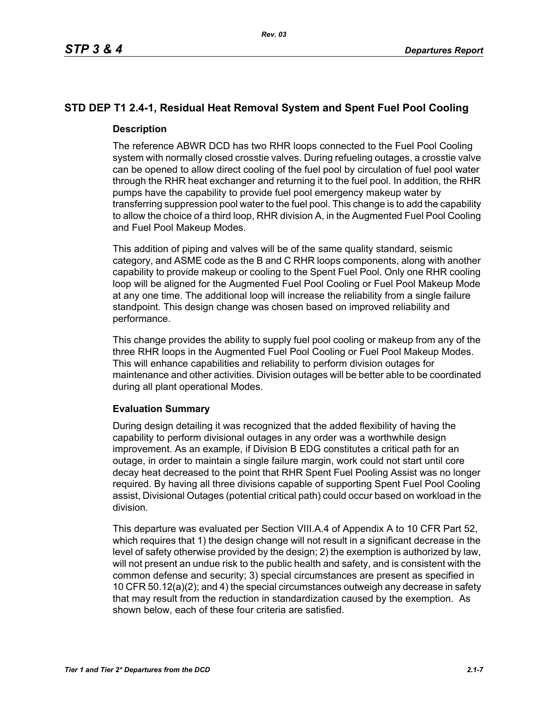# **STD DEP T1 2.4-1, Residual Heat Removal System and Spent Fuel Pool Cooling**

## **Description**

The reference ABWR DCD has two RHR loops connected to the Fuel Pool Cooling system with normally closed crosstie valves. During refueling outages, a crosstie valve can be opened to allow direct cooling of the fuel pool by circulation of fuel pool water through the RHR heat exchanger and returning it to the fuel pool. In addition, the RHR pumps have the capability to provide fuel pool emergency makeup water by transferring suppression pool water to the fuel pool. This change is to add the capability to allow the choice of a third loop, RHR division A, in the Augmented Fuel Pool Cooling and Fuel Pool Makeup Modes.

This addition of piping and valves will be of the same quality standard, seismic category, and ASME code as the B and C RHR loops components, along with another capability to provide makeup or cooling to the Spent Fuel Pool. Only one RHR cooling loop will be aligned for the Augmented Fuel Pool Cooling or Fuel Pool Makeup Mode at any one time. The additional loop will increase the reliability from a single failure standpoint. This design change was chosen based on improved reliability and performance.

This change provides the ability to supply fuel pool cooling or makeup from any of the three RHR loops in the Augmented Fuel Pool Cooling or Fuel Pool Makeup Modes. This will enhance capabilities and reliability to perform division outages for maintenance and other activities. Division outages will be better able to be coordinated during all plant operational Modes.

## **Evaluation Summary**

During design detailing it was recognized that the added flexibility of having the capability to perform divisional outages in any order was a worthwhile design improvement. As an example, if Division B EDG constitutes a critical path for an outage, in order to maintain a single failure margin, work could not start until core decay heat decreased to the point that RHR Spent Fuel Pooling Assist was no longer required. By having all three divisions capable of supporting Spent Fuel Pool Cooling assist, Divisional Outages (potential critical path) could occur based on workload in the division.

This departure was evaluated per Section VIII.A.4 of Appendix A to 10 CFR Part 52, which requires that 1) the design change will not result in a significant decrease in the level of safety otherwise provided by the design; 2) the exemption is authorized by law, will not present an undue risk to the public health and safety, and is consistent with the common defense and security; 3) special circumstances are present as specified in 10 CFR 50.12(a)(2); and 4) the special circumstances outweigh any decrease in safety that may result from the reduction in standardization caused by the exemption. As shown below, each of these four criteria are satisfied.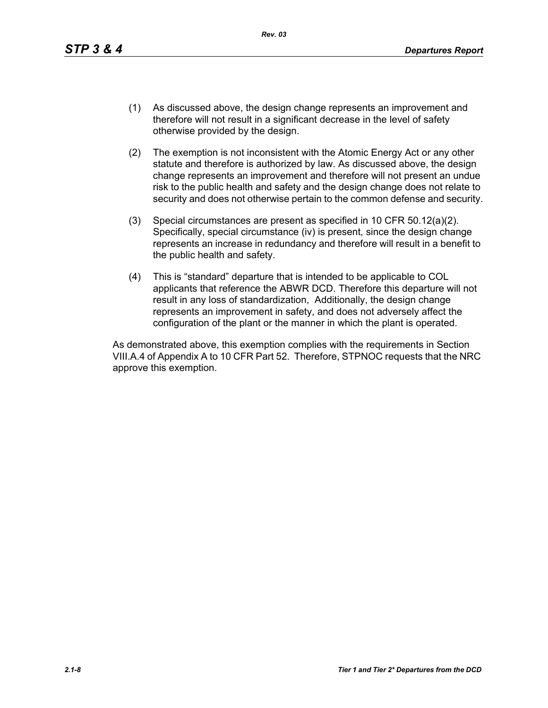- (1) As discussed above, the design change represents an improvement and therefore will not result in a significant decrease in the level of safety otherwise provided by the design.
- (2) The exemption is not inconsistent with the Atomic Energy Act or any other statute and therefore is authorized by law. As discussed above, the design change represents an improvement and therefore will not present an undue risk to the public health and safety and the design change does not relate to security and does not otherwise pertain to the common defense and security.
- (3) Special circumstances are present as specified in 10 CFR 50.12(a)(2). Specifically, special circumstance (iv) is present, since the design change represents an increase in redundancy and therefore will result in a benefit to the public health and safety.
- (4) This is "standard" departure that is intended to be applicable to COL applicants that reference the ABWR DCD. Therefore this departure will not result in any loss of standardization, Additionally, the design change represents an improvement in safety, and does not adversely affect the configuration of the plant or the manner in which the plant is operated.

As demonstrated above, this exemption complies with the requirements in Section VIII.A.4 of Appendix A to 10 CFR Part 52. Therefore, STPNOC requests that the NRC approve this exemption.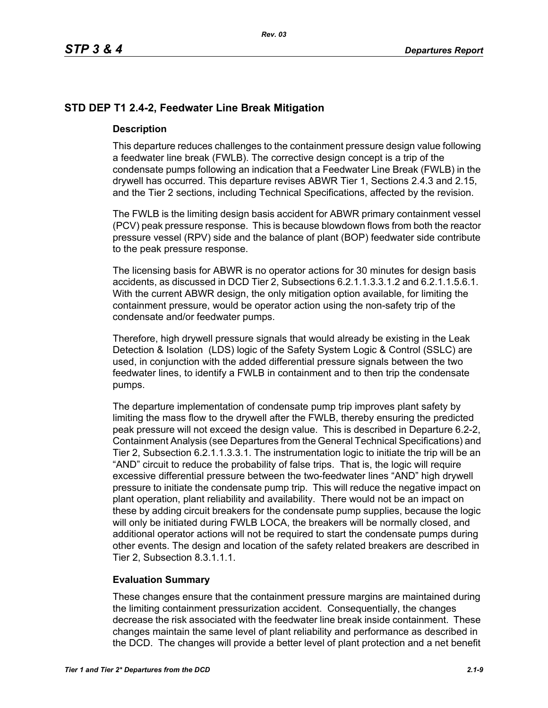## **STD DEP T1 2.4-2, Feedwater Line Break Mitigation**

### **Description**

This departure reduces challenges to the containment pressure design value following a feedwater line break (FWLB). The corrective design concept is a trip of the condensate pumps following an indication that a Feedwater Line Break (FWLB) in the drywell has occurred. This departure revises ABWR Tier 1, Sections 2.4.3 and 2.15, and the Tier 2 sections, including Technical Specifications, affected by the revision.

The FWLB is the limiting design basis accident for ABWR primary containment vessel (PCV) peak pressure response. This is because blowdown flows from both the reactor pressure vessel (RPV) side and the balance of plant (BOP) feedwater side contribute to the peak pressure response.

The licensing basis for ABWR is no operator actions for 30 minutes for design basis accidents, as discussed in DCD Tier 2, Subsections 6.2.1.1.3.3.1.2 and 6.2.1.1.5.6.1. With the current ABWR design, the only mitigation option available, for limiting the containment pressure, would be operator action using the non-safety trip of the condensate and/or feedwater pumps.

Therefore, high drywell pressure signals that would already be existing in the Leak Detection & Isolation (LDS) logic of the Safety System Logic & Control (SSLC) are used, in conjunction with the added differential pressure signals between the two feedwater lines, to identify a FWLB in containment and to then trip the condensate pumps.

The departure implementation of condensate pump trip improves plant safety by limiting the mass flow to the drywell after the FWLB, thereby ensuring the predicted peak pressure will not exceed the design value. This is described in Departure 6.2-2, Containment Analysis (see Departures from the General Technical Specifications) and Tier 2, Subsection 6.2.1.1.3.3.1. The instrumentation logic to initiate the trip will be an "AND" circuit to reduce the probability of false trips. That is, the logic will require excessive differential pressure between the two-feedwater lines "AND" high drywell pressure to initiate the condensate pump trip. This will reduce the negative impact on plant operation, plant reliability and availability. There would not be an impact on these by adding circuit breakers for the condensate pump supplies, because the logic will only be initiated during FWLB LOCA, the breakers will be normally closed, and additional operator actions will not be required to start the condensate pumps during other events. The design and location of the safety related breakers are described in Tier 2, Subsection 8.3.1.1.1.

## **Evaluation Summary**

These changes ensure that the containment pressure margins are maintained during the limiting containment pressurization accident. Consequentially, the changes decrease the risk associated with the feedwater line break inside containment. These changes maintain the same level of plant reliability and performance as described in the DCD. The changes will provide a better level of plant protection and a net benefit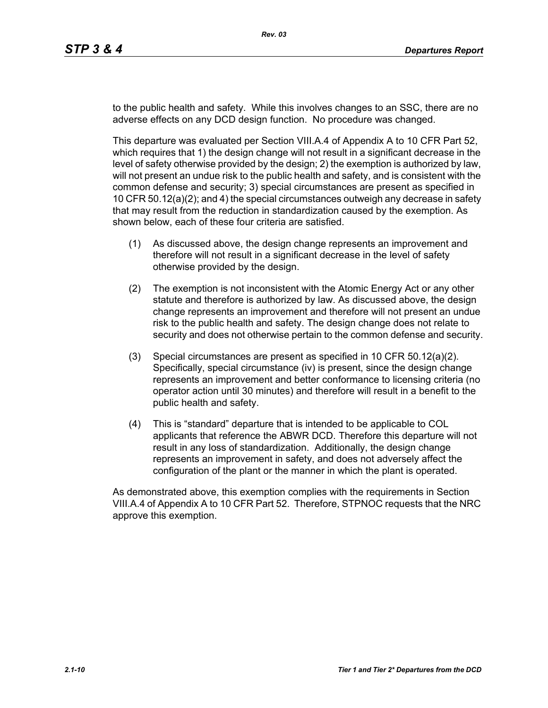to the public health and safety. While this involves changes to an SSC, there are no adverse effects on any DCD design function. No procedure was changed.

This departure was evaluated per Section VIII.A.4 of Appendix A to 10 CFR Part 52, which requires that 1) the design change will not result in a significant decrease in the level of safety otherwise provided by the design; 2) the exemption is authorized by law, will not present an undue risk to the public health and safety, and is consistent with the common defense and security; 3) special circumstances are present as specified in 10 CFR 50.12(a)(2); and 4) the special circumstances outweigh any decrease in safety that may result from the reduction in standardization caused by the exemption. As shown below, each of these four criteria are satisfied.

- (1) As discussed above, the design change represents an improvement and therefore will not result in a significant decrease in the level of safety otherwise provided by the design.
- (2) The exemption is not inconsistent with the Atomic Energy Act or any other statute and therefore is authorized by law. As discussed above, the design change represents an improvement and therefore will not present an undue risk to the public health and safety. The design change does not relate to security and does not otherwise pertain to the common defense and security.
- (3) Special circumstances are present as specified in 10 CFR 50.12(a)(2). Specifically, special circumstance (iv) is present, since the design change represents an improvement and better conformance to licensing criteria (no operator action until 30 minutes) and therefore will result in a benefit to the public health and safety.
- (4) This is "standard" departure that is intended to be applicable to COL applicants that reference the ABWR DCD. Therefore this departure will not result in any loss of standardization. Additionally, the design change represents an improvement in safety, and does not adversely affect the configuration of the plant or the manner in which the plant is operated.

As demonstrated above, this exemption complies with the requirements in Section VIII.A.4 of Appendix A to 10 CFR Part 52. Therefore, STPNOC requests that the NRC approve this exemption.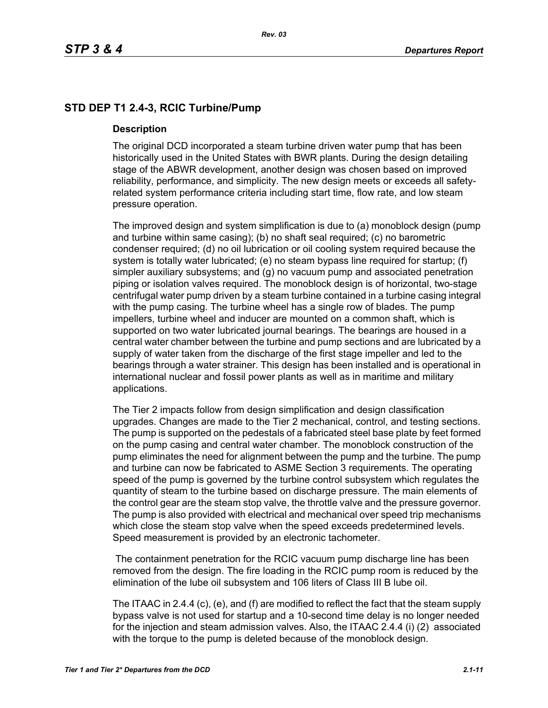# **STD DEP T1 2.4-3, RCIC Turbine/Pump**

### **Description**

The original DCD incorporated a steam turbine driven water pump that has been historically used in the United States with BWR plants. During the design detailing stage of the ABWR development, another design was chosen based on improved reliability, performance, and simplicity. The new design meets or exceeds all safetyrelated system performance criteria including start time, flow rate, and low steam pressure operation.

The improved design and system simplification is due to (a) monoblock design (pump and turbine within same casing); (b) no shaft seal required; (c) no barometric condenser required; (d) no oil lubrication or oil cooling system required because the system is totally water lubricated; (e) no steam bypass line required for startup; (f) simpler auxiliary subsystems; and (g) no vacuum pump and associated penetration piping or isolation valves required. The monoblock design is of horizontal, two-stage centrifugal water pump driven by a steam turbine contained in a turbine casing integral with the pump casing. The turbine wheel has a single row of blades. The pump impellers, turbine wheel and inducer are mounted on a common shaft, which is supported on two water lubricated journal bearings. The bearings are housed in a central water chamber between the turbine and pump sections and are lubricated by a supply of water taken from the discharge of the first stage impeller and led to the bearings through a water strainer. This design has been installed and is operational in international nuclear and fossil power plants as well as in maritime and military applications.

The Tier 2 impacts follow from design simplification and design classification upgrades. Changes are made to the Tier 2 mechanical, control, and testing sections. The pump is supported on the pedestals of a fabricated steel base plate by feet formed on the pump casing and central water chamber. The monoblock construction of the pump eliminates the need for alignment between the pump and the turbine. The pump and turbine can now be fabricated to ASME Section 3 requirements. The operating speed of the pump is governed by the turbine control subsystem which regulates the quantity of steam to the turbine based on discharge pressure. The main elements of the control gear are the steam stop valve, the throttle valve and the pressure governor. The pump is also provided with electrical and mechanical over speed trip mechanisms which close the steam stop valve when the speed exceeds predetermined levels. Speed measurement is provided by an electronic tachometer.

 The containment penetration for the RCIC vacuum pump discharge line has been removed from the design. The fire loading in the RCIC pump room is reduced by the elimination of the lube oil subsystem and 106 liters of Class III B lube oil.

The ITAAC in 2.4.4 (c), (e), and (f) are modified to reflect the fact that the steam supply bypass valve is not used for startup and a 10-second time delay is no longer needed for the injection and steam admission valves. Also, the ITAAC 2.4.4 (i) (2) associated with the torque to the pump is deleted because of the monoblock design.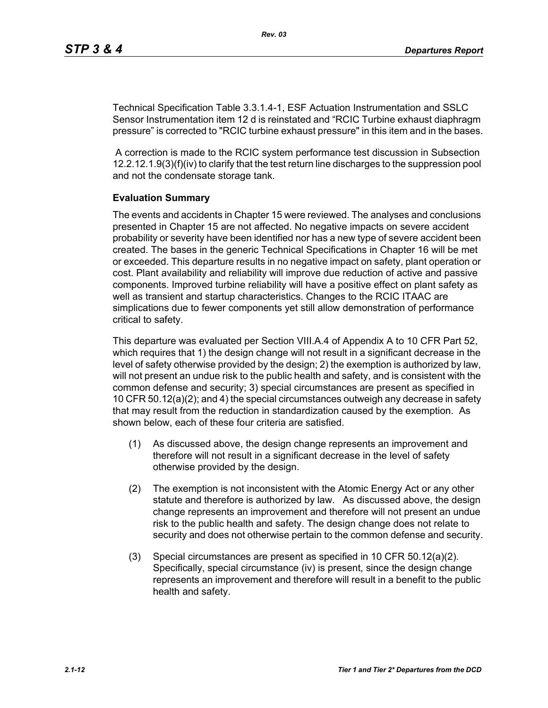Technical Specification Table 3.3.1.4-1, ESF Actuation Instrumentation and SSLC Sensor Instrumentation item 12 d is reinstated and "RCIC Turbine exhaust diaphragm pressure" is corrected to "RCIC turbine exhaust pressure" in this item and in the bases.

 A correction is made to the RCIC system performance test discussion in Subsection 12.2.12.1.9(3)(f)(iv) to clarify that the test return line discharges to the suppression pool and not the condensate storage tank.

### **Evaluation Summary**

The events and accidents in Chapter 15 were reviewed. The analyses and conclusions presented in Chapter 15 are not affected. No negative impacts on severe accident probability or severity have been identified nor has a new type of severe accident been created. The bases in the generic Technical Specifications in Chapter 16 will be met or exceeded. This departure results in no negative impact on safety, plant operation or cost. Plant availability and reliability will improve due reduction of active and passive components. Improved turbine reliability will have a positive effect on plant safety as well as transient and startup characteristics. Changes to the RCIC ITAAC are simplications due to fewer components yet still allow demonstration of performance critical to safety.

This departure was evaluated per Section VIII.A.4 of Appendix A to 10 CFR Part 52, which requires that 1) the design change will not result in a significant decrease in the level of safety otherwise provided by the design; 2) the exemption is authorized by law, will not present an undue risk to the public health and safety, and is consistent with the common defense and security; 3) special circumstances are present as specified in 10 CFR 50.12(a)(2); and 4) the special circumstances outweigh any decrease in safety that may result from the reduction in standardization caused by the exemption. As shown below, each of these four criteria are satisfied.

- (1) As discussed above, the design change represents an improvement and therefore will not result in a significant decrease in the level of safety otherwise provided by the design.
- (2) The exemption is not inconsistent with the Atomic Energy Act or any other statute and therefore is authorized by law. As discussed above, the design change represents an improvement and therefore will not present an undue risk to the public health and safety. The design change does not relate to security and does not otherwise pertain to the common defense and security.
- (3) Special circumstances are present as specified in 10 CFR 50.12(a)(2). Specifically, special circumstance (iv) is present, since the design change represents an improvement and therefore will result in a benefit to the public health and safety.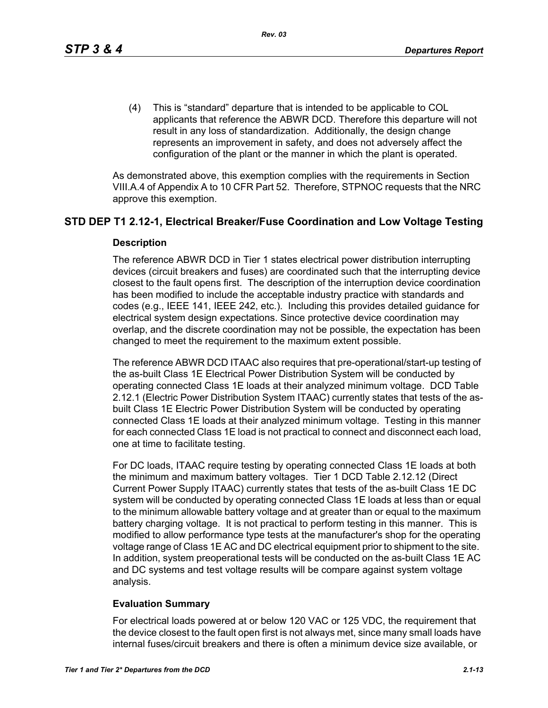(4) This is "standard" departure that is intended to be applicable to COL applicants that reference the ABWR DCD. Therefore this departure will not result in any loss of standardization. Additionally, the design change represents an improvement in safety, and does not adversely affect the configuration of the plant or the manner in which the plant is operated.

As demonstrated above, this exemption complies with the requirements in Section VIII.A.4 of Appendix A to 10 CFR Part 52. Therefore, STPNOC requests that the NRC approve this exemption.

## **STD DEP T1 2.12-1, Electrical Breaker/Fuse Coordination and Low Voltage Testing**

### **Description**

The reference ABWR DCD in Tier 1 states electrical power distribution interrupting devices (circuit breakers and fuses) are coordinated such that the interrupting device closest to the fault opens first. The description of the interruption device coordination has been modified to include the acceptable industry practice with standards and codes (e.g., IEEE 141, IEEE 242, etc.). Including this provides detailed guidance for electrical system design expectations. Since protective device coordination may overlap, and the discrete coordination may not be possible, the expectation has been changed to meet the requirement to the maximum extent possible.

The reference ABWR DCD ITAAC also requires that pre-operational/start-up testing of the as-built Class 1E Electrical Power Distribution System will be conducted by operating connected Class 1E loads at their analyzed minimum voltage. DCD Table 2.12.1 (Electric Power Distribution System ITAAC) currently states that tests of the asbuilt Class 1E Electric Power Distribution System will be conducted by operating connected Class 1E loads at their analyzed minimum voltage. Testing in this manner for each connected Class 1E load is not practical to connect and disconnect each load, one at time to facilitate testing.

For DC loads, ITAAC require testing by operating connected Class 1E loads at both the minimum and maximum battery voltages. Tier 1 DCD Table 2.12.12 (Direct Current Power Supply ITAAC) currently states that tests of the as-built Class 1E DC system will be conducted by operating connected Class 1E loads at less than or equal to the minimum allowable battery voltage and at greater than or equal to the maximum battery charging voltage. It is not practical to perform testing in this manner. This is modified to allow performance type tests at the manufacturer's shop for the operating voltage range of Class 1E AC and DC electrical equipment prior to shipment to the site. In addition, system preoperational tests will be conducted on the as-built Class 1E AC and DC systems and test voltage results will be compare against system voltage analysis.

### **Evaluation Summary**

For electrical loads powered at or below 120 VAC or 125 VDC, the requirement that the device closest to the fault open first is not always met, since many small loads have internal fuses/circuit breakers and there is often a minimum device size available, or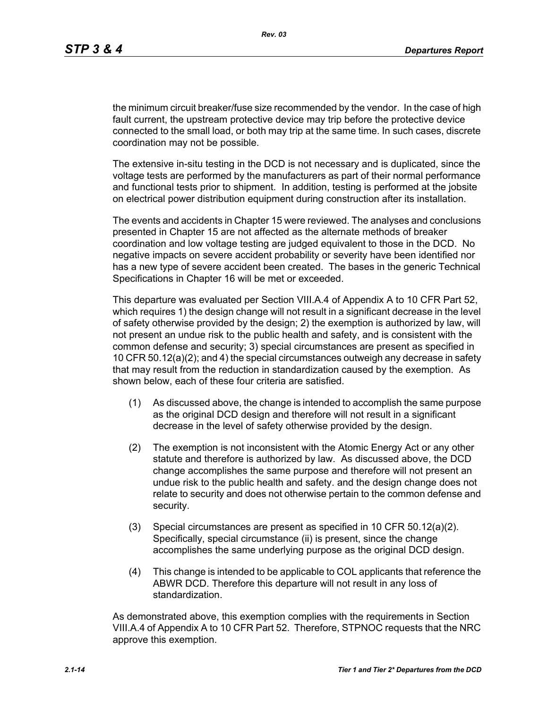the minimum circuit breaker/fuse size recommended by the vendor. In the case of high fault current, the upstream protective device may trip before the protective device connected to the small load, or both may trip at the same time. In such cases, discrete coordination may not be possible.

The extensive in-situ testing in the DCD is not necessary and is duplicated, since the voltage tests are performed by the manufacturers as part of their normal performance and functional tests prior to shipment. In addition, testing is performed at the jobsite on electrical power distribution equipment during construction after its installation.

The events and accidents in Chapter 15 were reviewed. The analyses and conclusions presented in Chapter 15 are not affected as the alternate methods of breaker coordination and low voltage testing are judged equivalent to those in the DCD. No negative impacts on severe accident probability or severity have been identified nor has a new type of severe accident been created. The bases in the generic Technical Specifications in Chapter 16 will be met or exceeded.

This departure was evaluated per Section VIII.A.4 of Appendix A to 10 CFR Part 52, which requires 1) the design change will not result in a significant decrease in the level of safety otherwise provided by the design; 2) the exemption is authorized by law, will not present an undue risk to the public health and safety, and is consistent with the common defense and security; 3) special circumstances are present as specified in 10 CFR 50.12(a)(2); and 4) the special circumstances outweigh any decrease in safety that may result from the reduction in standardization caused by the exemption. As shown below, each of these four criteria are satisfied.

- (1) As discussed above, the change is intended to accomplish the same purpose as the original DCD design and therefore will not result in a significant decrease in the level of safety otherwise provided by the design.
- (2) The exemption is not inconsistent with the Atomic Energy Act or any other statute and therefore is authorized by law. As discussed above, the DCD change accomplishes the same purpose and therefore will not present an undue risk to the public health and safety. and the design change does not relate to security and does not otherwise pertain to the common defense and security.
- (3) Special circumstances are present as specified in 10 CFR 50.12(a)(2). Specifically, special circumstance (ii) is present, since the change accomplishes the same underlying purpose as the original DCD design.
- (4) This change is intended to be applicable to COL applicants that reference the ABWR DCD. Therefore this departure will not result in any loss of standardization.

As demonstrated above, this exemption complies with the requirements in Section VIII.A.4 of Appendix A to 10 CFR Part 52. Therefore, STPNOC requests that the NRC approve this exemption.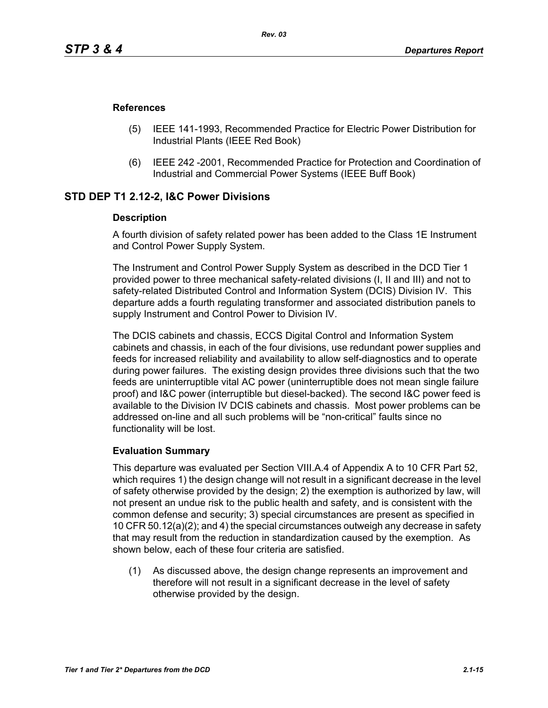### **References**

- (5) IEEE 141-1993, Recommended Practice for Electric Power Distribution for Industrial Plants (IEEE Red Book)
- (6) IEEE 242 -2001, Recommended Practice for Protection and Coordination of Industrial and Commercial Power Systems (IEEE Buff Book)

## **STD DEP T1 2.12-2, I&C Power Divisions**

### **Description**

A fourth division of safety related power has been added to the Class 1E Instrument and Control Power Supply System.

The Instrument and Control Power Supply System as described in the DCD Tier 1 provided power to three mechanical safety-related divisions (I, II and III) and not to safety-related Distributed Control and Information System (DCIS) Division IV. This departure adds a fourth regulating transformer and associated distribution panels to supply Instrument and Control Power to Division IV.

The DCIS cabinets and chassis, ECCS Digital Control and Information System cabinets and chassis, in each of the four divisions, use redundant power supplies and feeds for increased reliability and availability to allow self-diagnostics and to operate during power failures. The existing design provides three divisions such that the two feeds are uninterruptible vital AC power (uninterruptible does not mean single failure proof) and I&C power (interruptible but diesel-backed). The second I&C power feed is available to the Division IV DCIS cabinets and chassis. Most power problems can be addressed on-line and all such problems will be "non-critical" faults since no functionality will be lost.

### **Evaluation Summary**

This departure was evaluated per Section VIII.A.4 of Appendix A to 10 CFR Part 52, which requires 1) the design change will not result in a significant decrease in the level of safety otherwise provided by the design; 2) the exemption is authorized by law, will not present an undue risk to the public health and safety, and is consistent with the common defense and security; 3) special circumstances are present as specified in 10 CFR 50.12(a)(2); and 4) the special circumstances outweigh any decrease in safety that may result from the reduction in standardization caused by the exemption. As shown below, each of these four criteria are satisfied.

(1) As discussed above, the design change represents an improvement and therefore will not result in a significant decrease in the level of safety otherwise provided by the design.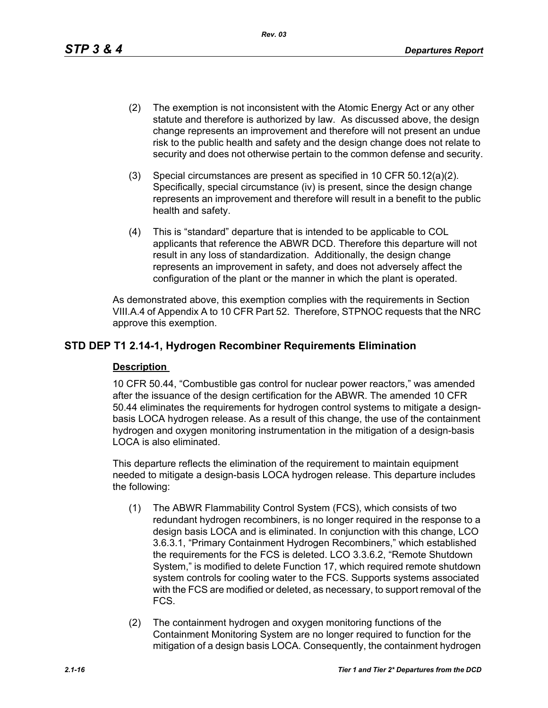*Rev. 03*

- (2) The exemption is not inconsistent with the Atomic Energy Act or any other statute and therefore is authorized by law. As discussed above, the design change represents an improvement and therefore will not present an undue risk to the public health and safety and the design change does not relate to security and does not otherwise pertain to the common defense and security.
- (3) Special circumstances are present as specified in 10 CFR 50.12(a)(2). Specifically, special circumstance (iv) is present, since the design change represents an improvement and therefore will result in a benefit to the public health and safety.
- (4) This is "standard" departure that is intended to be applicable to COL applicants that reference the ABWR DCD. Therefore this departure will not result in any loss of standardization. Additionally, the design change represents an improvement in safety, and does not adversely affect the configuration of the plant or the manner in which the plant is operated.

As demonstrated above, this exemption complies with the requirements in Section VIII.A.4 of Appendix A to 10 CFR Part 52. Therefore, STPNOC requests that the NRC approve this exemption.

# **STD DEP T1 2.14-1, Hydrogen Recombiner Requirements Elimination**

## **Description**

10 CFR 50.44, "Combustible gas control for nuclear power reactors," was amended after the issuance of the design certification for the ABWR. The amended 10 CFR 50.44 eliminates the requirements for hydrogen control systems to mitigate a designbasis LOCA hydrogen release. As a result of this change, the use of the containment hydrogen and oxygen monitoring instrumentation in the mitigation of a design-basis LOCA is also eliminated.

This departure reflects the elimination of the requirement to maintain equipment needed to mitigate a design-basis LOCA hydrogen release. This departure includes the following:

- (1) The ABWR Flammability Control System (FCS), which consists of two redundant hydrogen recombiners, is no longer required in the response to a design basis LOCA and is eliminated. In conjunction with this change, LCO 3.6.3.1, "Primary Containment Hydrogen Recombiners," which established the requirements for the FCS is deleted. LCO 3.3.6.2, "Remote Shutdown System," is modified to delete Function 17, which required remote shutdown system controls for cooling water to the FCS. Supports systems associated with the FCS are modified or deleted, as necessary, to support removal of the FCS.
- (2) The containment hydrogen and oxygen monitoring functions of the Containment Monitoring System are no longer required to function for the mitigation of a design basis LOCA. Consequently, the containment hydrogen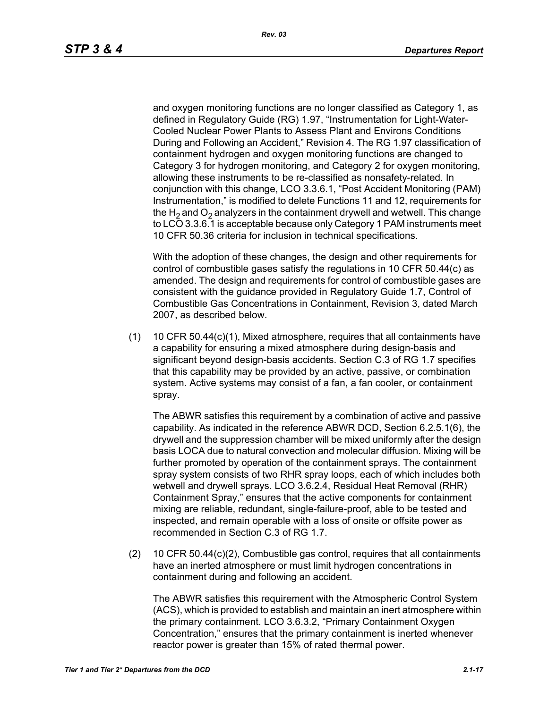and oxygen monitoring functions are no longer classified as Category 1, as defined in Regulatory Guide (RG) 1.97, "Instrumentation for Light-Water-Cooled Nuclear Power Plants to Assess Plant and Environs Conditions During and Following an Accident," Revision 4. The RG 1.97 classification of containment hydrogen and oxygen monitoring functions are changed to Category 3 for hydrogen monitoring, and Category 2 for oxygen monitoring, allowing these instruments to be re-classified as nonsafety-related. In conjunction with this change, LCO 3.3.6.1, "Post Accident Monitoring (PAM) Instrumentation," is modified to delete Functions 11 and 12, requirements for the  $H_2$  and  $O_2$  analyzers in the containment drywell and wetwell. This change to LCO 3.3.6.1 is acceptable because only Category 1 PAM instruments meet 10 CFR 50.36 criteria for inclusion in technical specifications.

With the adoption of these changes, the design and other requirements for control of combustible gases satisfy the regulations in 10 CFR 50.44(c) as amended. The design and requirements for control of combustible gases are consistent with the guidance provided in Regulatory Guide 1.7, Control of Combustible Gas Concentrations in Containment, Revision 3, dated March 2007, as described below.

(1) 10 CFR 50.44(c)(1), Mixed atmosphere, requires that all containments have a capability for ensuring a mixed atmosphere during design-basis and significant beyond design-basis accidents. Section C.3 of RG 1.7 specifies that this capability may be provided by an active, passive, or combination system. Active systems may consist of a fan, a fan cooler, or containment spray.

The ABWR satisfies this requirement by a combination of active and passive capability. As indicated in the reference ABWR DCD, Section 6.2.5.1(6), the drywell and the suppression chamber will be mixed uniformly after the design basis LOCA due to natural convection and molecular diffusion. Mixing will be further promoted by operation of the containment sprays. The containment spray system consists of two RHR spray loops, each of which includes both wetwell and drywell sprays. LCO 3.6.2.4, Residual Heat Removal (RHR) Containment Spray," ensures that the active components for containment mixing are reliable, redundant, single-failure-proof, able to be tested and inspected, and remain operable with a loss of onsite or offsite power as recommended in Section C.3 of RG 1.7.

(2) 10 CFR 50.44(c)(2), Combustible gas control, requires that all containments have an inerted atmosphere or must limit hydrogen concentrations in containment during and following an accident.

The ABWR satisfies this requirement with the Atmospheric Control System (ACS), which is provided to establish and maintain an inert atmosphere within the primary containment. LCO 3.6.3.2, "Primary Containment Oxygen Concentration," ensures that the primary containment is inerted whenever reactor power is greater than 15% of rated thermal power.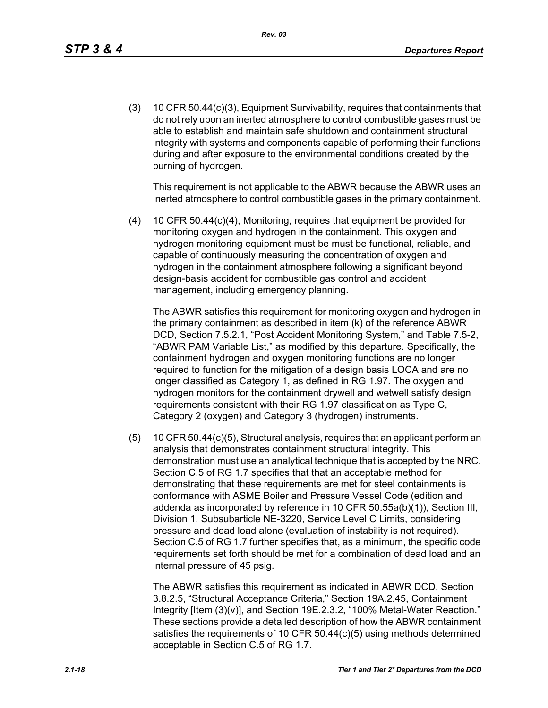(3) 10 CFR 50.44(c)(3), Equipment Survivability, requires that containments that do not rely upon an inerted atmosphere to control combustible gases must be able to establish and maintain safe shutdown and containment structural integrity with systems and components capable of performing their functions during and after exposure to the environmental conditions created by the burning of hydrogen.

This requirement is not applicable to the ABWR because the ABWR uses an inerted atmosphere to control combustible gases in the primary containment.

(4) 10 CFR 50.44(c)(4), Monitoring, requires that equipment be provided for monitoring oxygen and hydrogen in the containment. This oxygen and hydrogen monitoring equipment must be must be functional, reliable, and capable of continuously measuring the concentration of oxygen and hydrogen in the containment atmosphere following a significant beyond design-basis accident for combustible gas control and accident management, including emergency planning.

The ABWR satisfies this requirement for monitoring oxygen and hydrogen in the primary containment as described in item (k) of the reference ABWR DCD, Section 7.5.2.1, "Post Accident Monitoring System," and Table 7.5-2, "ABWR PAM Variable List," as modified by this departure. Specifically, the containment hydrogen and oxygen monitoring functions are no longer required to function for the mitigation of a design basis LOCA and are no longer classified as Category 1, as defined in RG 1.97. The oxygen and hydrogen monitors for the containment drywell and wetwell satisfy design requirements consistent with their RG 1.97 classification as Type C, Category 2 (oxygen) and Category 3 (hydrogen) instruments.

(5) 10 CFR 50.44(c)(5), Structural analysis, requires that an applicant perform an analysis that demonstrates containment structural integrity. This demonstration must use an analytical technique that is accepted by the NRC. Section C.5 of RG 1.7 specifies that that an acceptable method for demonstrating that these requirements are met for steel containments is conformance with ASME Boiler and Pressure Vessel Code (edition and addenda as incorporated by reference in 10 CFR 50.55a(b)(1)), Section III, Division 1, Subsubarticle NE-3220, Service Level C Limits, considering pressure and dead load alone (evaluation of instability is not required). Section C.5 of RG 1.7 further specifies that, as a minimum, the specific code requirements set forth should be met for a combination of dead load and an internal pressure of 45 psig.

The ABWR satisfies this requirement as indicated in ABWR DCD, Section 3.8.2.5, "Structural Acceptance Criteria," Section 19A.2.45, Containment Integrity [Item (3)(v)], and Section 19E.2.3.2, "100% Metal-Water Reaction." These sections provide a detailed description of how the ABWR containment satisfies the requirements of 10 CFR 50.44(c)(5) using methods determined acceptable in Section C.5 of RG 1.7.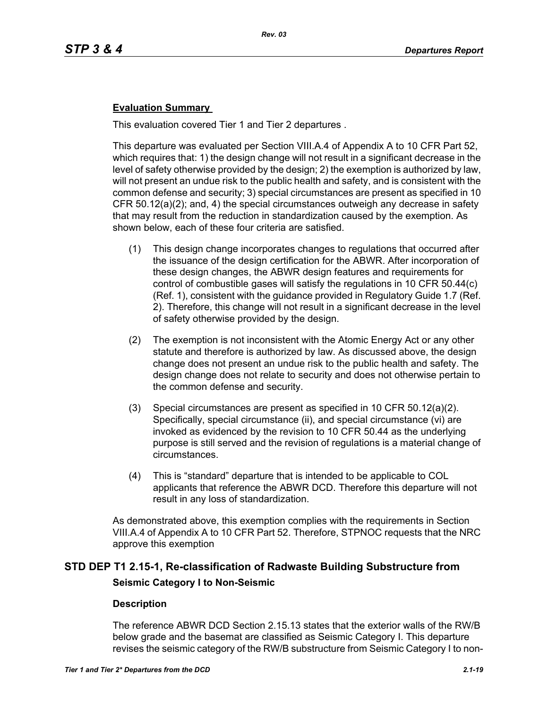## **Evaluation Summary**

This evaluation covered Tier 1 and Tier 2 departures .

This departure was evaluated per Section VIII.A.4 of Appendix A to 10 CFR Part 52, which requires that: 1) the design change will not result in a significant decrease in the level of safety otherwise provided by the design; 2) the exemption is authorized by law, will not present an undue risk to the public health and safety, and is consistent with the common defense and security; 3) special circumstances are present as specified in 10 CFR 50.12(a)(2); and, 4) the special circumstances outweigh any decrease in safety that may result from the reduction in standardization caused by the exemption. As shown below, each of these four criteria are satisfied.

- (1) This design change incorporates changes to regulations that occurred after the issuance of the design certification for the ABWR. After incorporation of these design changes, the ABWR design features and requirements for control of combustible gases will satisfy the regulations in 10 CFR 50.44(c) (Ref. 1), consistent with the guidance provided in Regulatory Guide 1.7 (Ref. 2). Therefore, this change will not result in a significant decrease in the level of safety otherwise provided by the design.
- (2) The exemption is not inconsistent with the Atomic Energy Act or any other statute and therefore is authorized by law. As discussed above, the design change does not present an undue risk to the public health and safety. The design change does not relate to security and does not otherwise pertain to the common defense and security.
- (3) Special circumstances are present as specified in 10 CFR 50.12(a)(2). Specifically, special circumstance (ii), and special circumstance (vi) are invoked as evidenced by the revision to 10 CFR 50.44 as the underlying purpose is still served and the revision of regulations is a material change of circumstances.
- (4) This is "standard" departure that is intended to be applicable to COL applicants that reference the ABWR DCD. Therefore this departure will not result in any loss of standardization.

As demonstrated above, this exemption complies with the requirements in Section VIII.A.4 of Appendix A to 10 CFR Part 52. Therefore, STPNOC requests that the NRC approve this exemption

# **STD DEP T1 2.15-1, Re-classification of Radwaste Building Substructure from Seismic Category I to Non-Seismic**

## **Description**

The reference ABWR DCD Section 2.15.13 states that the exterior walls of the RW/B below grade and the basemat are classified as Seismic Category I. This departure revises the seismic category of the RW/B substructure from Seismic Category I to non-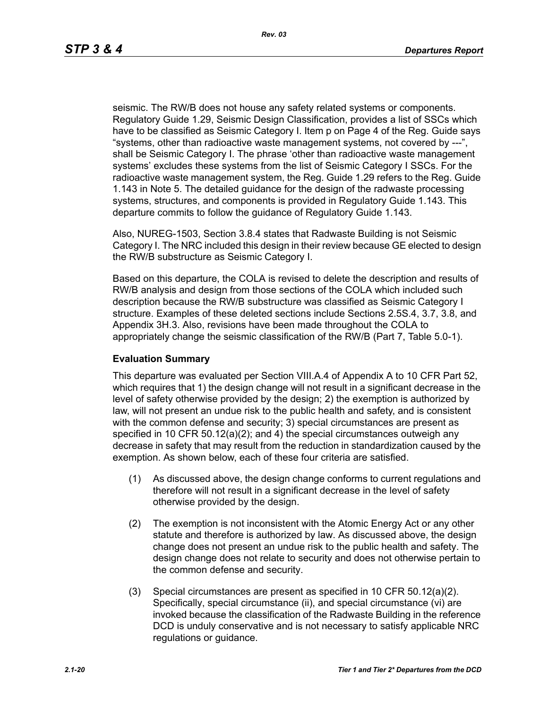seismic. The RW/B does not house any safety related systems or components. Regulatory Guide 1.29, Seismic Design Classification, provides a list of SSCs which have to be classified as Seismic Category I. Item p on Page 4 of the Reg. Guide says "systems, other than radioactive waste management systems, not covered by ---", shall be Seismic Category I. The phrase 'other than radioactive waste management systems' excludes these systems from the list of Seismic Category I SSCs. For the radioactive waste management system, the Reg. Guide 1.29 refers to the Reg. Guide 1.143 in Note 5. The detailed guidance for the design of the radwaste processing systems, structures, and components is provided in Regulatory Guide 1.143. This departure commits to follow the guidance of Regulatory Guide 1.143.

Also, NUREG-1503, Section 3.8.4 states that Radwaste Building is not Seismic Category I. The NRC included this design in their review because GE elected to design the RW/B substructure as Seismic Category I.

Based on this departure, the COLA is revised to delete the description and results of RW/B analysis and design from those sections of the COLA which included such description because the RW/B substructure was classified as Seismic Category I structure. Examples of these deleted sections include Sections 2.5S.4, 3.7, 3.8, and Appendix 3H.3. Also, revisions have been made throughout the COLA to appropriately change the seismic classification of the RW/B (Part 7, Table 5.0-1).

### **Evaluation Summary**

This departure was evaluated per Section VIII.A.4 of Appendix A to 10 CFR Part 52, which requires that 1) the design change will not result in a significant decrease in the level of safety otherwise provided by the design; 2) the exemption is authorized by law, will not present an undue risk to the public health and safety, and is consistent with the common defense and security; 3) special circumstances are present as specified in 10 CFR  $50.12(a)(2)$ ; and 4) the special circumstances outweigh any decrease in safety that may result from the reduction in standardization caused by the exemption. As shown below, each of these four criteria are satisfied.

- (1) As discussed above, the design change conforms to current regulations and therefore will not result in a significant decrease in the level of safety otherwise provided by the design.
- (2) The exemption is not inconsistent with the Atomic Energy Act or any other statute and therefore is authorized by law. As discussed above, the design change does not present an undue risk to the public health and safety. The design change does not relate to security and does not otherwise pertain to the common defense and security.
- (3) Special circumstances are present as specified in 10 CFR 50.12(a)(2). Specifically, special circumstance (ii), and special circumstance (vi) are invoked because the classification of the Radwaste Building in the reference DCD is unduly conservative and is not necessary to satisfy applicable NRC regulations or guidance.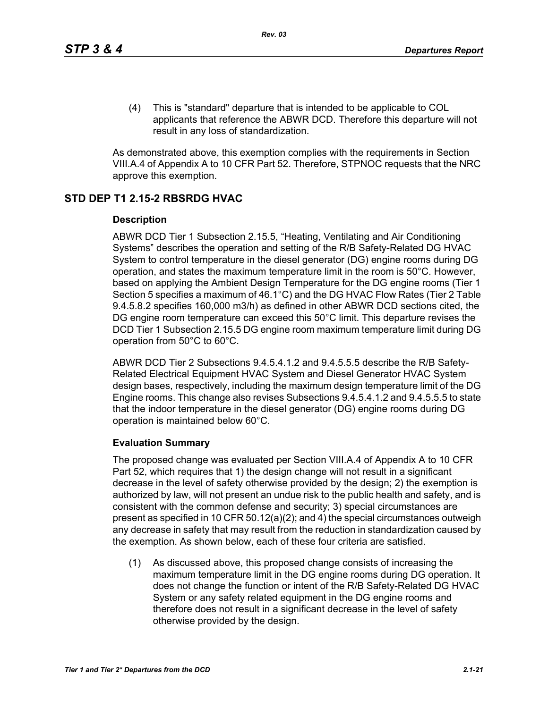(4) This is "standard" departure that is intended to be applicable to COL applicants that reference the ABWR DCD. Therefore this departure will not result in any loss of standardization.

As demonstrated above, this exemption complies with the requirements in Section VIII.A.4 of Appendix A to 10 CFR Part 52. Therefore, STPNOC requests that the NRC approve this exemption.

## **STD DEP T1 2.15-2 RBSRDG HVAC**

### **Description**

ABWR DCD Tier 1 Subsection 2.15.5, "Heating, Ventilating and Air Conditioning Systems" describes the operation and setting of the R/B Safety-Related DG HVAC System to control temperature in the diesel generator (DG) engine rooms during DG operation, and states the maximum temperature limit in the room is 50°C. However, based on applying the Ambient Design Temperature for the DG engine rooms (Tier 1 Section 5 specifies a maximum of 46.1°C) and the DG HVAC Flow Rates (Tier 2 Table 9.4.5.8.2 specifies 160,000 m3/h) as defined in other ABWR DCD sections cited, the DG engine room temperature can exceed this 50°C limit. This departure revises the DCD Tier 1 Subsection 2.15.5 DG engine room maximum temperature limit during DG operation from 50°C to 60°C.

ABWR DCD Tier 2 Subsections 9.4.5.4.1.2 and 9.4.5.5.5 describe the R/B Safety-Related Electrical Equipment HVAC System and Diesel Generator HVAC System design bases, respectively, including the maximum design temperature limit of the DG Engine rooms. This change also revises Subsections 9.4.5.4.1.2 and 9.4.5.5.5 to state that the indoor temperature in the diesel generator (DG) engine rooms during DG operation is maintained below 60°C.

## **Evaluation Summary**

The proposed change was evaluated per Section VIII.A.4 of Appendix A to 10 CFR Part 52, which requires that 1) the design change will not result in a significant decrease in the level of safety otherwise provided by the design; 2) the exemption is authorized by law, will not present an undue risk to the public health and safety, and is consistent with the common defense and security; 3) special circumstances are present as specified in 10 CFR 50.12(a)(2); and 4) the special circumstances outweigh any decrease in safety that may result from the reduction in standardization caused by the exemption. As shown below, each of these four criteria are satisfied.

(1) As discussed above, this proposed change consists of increasing the maximum temperature limit in the DG engine rooms during DG operation. It does not change the function or intent of the R/B Safety-Related DG HVAC System or any safety related equipment in the DG engine rooms and therefore does not result in a significant decrease in the level of safety otherwise provided by the design.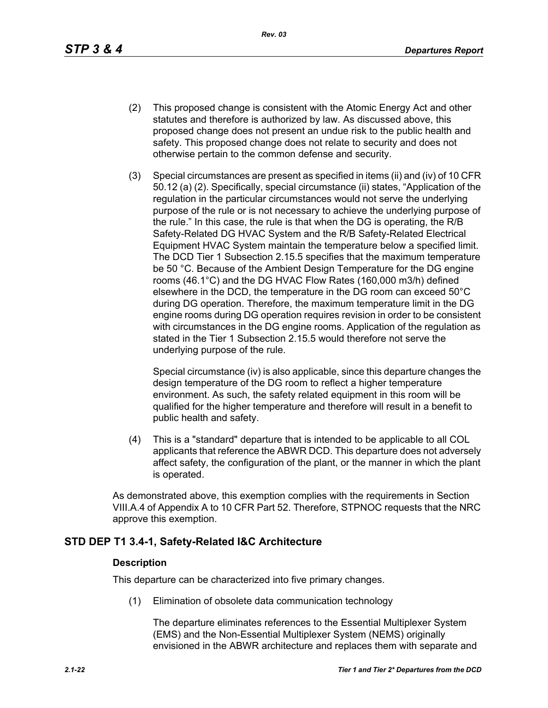*Rev. 03*

- (2) This proposed change is consistent with the Atomic Energy Act and other statutes and therefore is authorized by law. As discussed above, this proposed change does not present an undue risk to the public health and safety. This proposed change does not relate to security and does not otherwise pertain to the common defense and security.
- (3) Special circumstances are present as specified in items (ii) and (iv) of 10 CFR 50.12 (a) (2). Specifically, special circumstance (ii) states, "Application of the regulation in the particular circumstances would not serve the underlying purpose of the rule or is not necessary to achieve the underlying purpose of the rule." In this case, the rule is that when the DG is operating, the R/B Safety-Related DG HVAC System and the R/B Safety-Related Electrical Equipment HVAC System maintain the temperature below a specified limit. The DCD Tier 1 Subsection 2.15.5 specifies that the maximum temperature be 50 °C. Because of the Ambient Design Temperature for the DG engine rooms (46.1°C) and the DG HVAC Flow Rates (160,000 m3/h) defined elsewhere in the DCD, the temperature in the DG room can exceed 50°C during DG operation. Therefore, the maximum temperature limit in the DG engine rooms during DG operation requires revision in order to be consistent with circumstances in the DG engine rooms. Application of the regulation as stated in the Tier 1 Subsection 2.15.5 would therefore not serve the underlying purpose of the rule.

Special circumstance (iv) is also applicable, since this departure changes the design temperature of the DG room to reflect a higher temperature environment. As such, the safety related equipment in this room will be qualified for the higher temperature and therefore will result in a benefit to public health and safety.

(4) This is a "standard" departure that is intended to be applicable to all COL applicants that reference the ABWR DCD. This departure does not adversely affect safety, the configuration of the plant, or the manner in which the plant is operated.

As demonstrated above, this exemption complies with the requirements in Section VIII.A.4 of Appendix A to 10 CFR Part 52. Therefore, STPNOC requests that the NRC approve this exemption.

## **STD DEP T1 3.4-1, Safety-Related I&C Architecture**

## **Description**

This departure can be characterized into five primary changes.

(1) Elimination of obsolete data communication technology

The departure eliminates references to the Essential Multiplexer System (EMS) and the Non-Essential Multiplexer System (NEMS) originally envisioned in the ABWR architecture and replaces them with separate and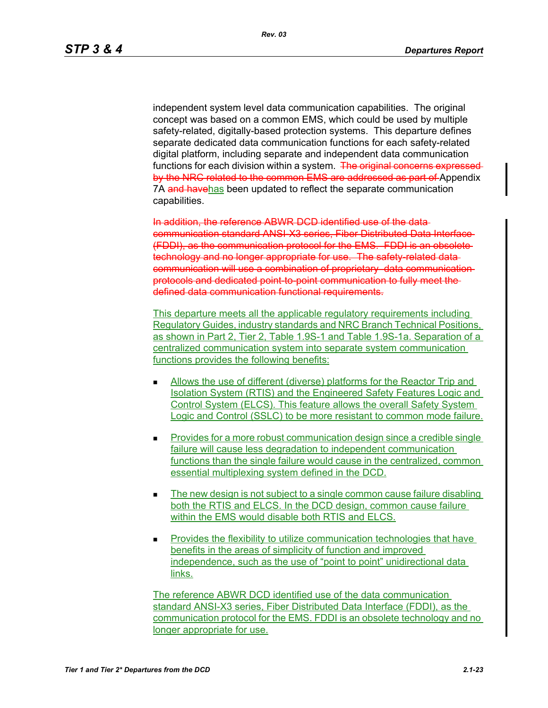independent system level data communication capabilities. The original concept was based on a common EMS, which could be used by multiple safety-related, digitally-based protection systems. This departure defines separate dedicated data communication functions for each safety-related digital platform, including separate and independent data communication functions for each division within a system. The original concerns expressed by the NRC related to the common EMS are addressed as part of Appendix 7A and havehas been updated to reflect the separate communication capabilities.

In addition, the reference ABWR DCD identified use of the data communication standard ANSI-X3 series, Fiber Distributed Data Interface (FDDI), as the communication protocol for the EMS. FDDI is an obsolete technology and no longer appropriate for use. The safety-related datacommunication will use a combination of proprietary data communication protocols and dedicated point to point communication to fully meet the defined data communication functional requirements.

This departure meets all the applicable regulatory requirements including Regulatory Guides, industry standards and NRC Branch Technical Positions, as shown in Part 2, Tier 2, Table 1.9S-1 and Table 1.9S-1a. Separation of a centralized communication system into separate system communication functions provides the following benefits:

- Allows the use of different (diverse) platforms for the Reactor Trip and Isolation System (RTIS) and the Engineered Safety Features Logic and Control System (ELCS). This feature allows the overall Safety System Logic and Control (SSLC) to be more resistant to common mode failure.
- Provides for a more robust communication design since a credible single failure will cause less degradation to independent communication functions than the single failure would cause in the centralized, common essential multiplexing system defined in the DCD.
- The new design is not subject to a single common cause failure disabling both the RTIS and ELCS. In the DCD design, common cause failure within the EMS would disable both RTIS and ELCS.
- Provides the flexibility to utilize communication technologies that have benefits in the areas of simplicity of function and improved independence, such as the use of "point to point" unidirectional data links.

The reference ABWR DCD identified use of the data communication standard ANSI-X3 series, Fiber Distributed Data Interface (FDDI), as the communication protocol for the EMS. FDDI is an obsolete technology and no longer appropriate for use.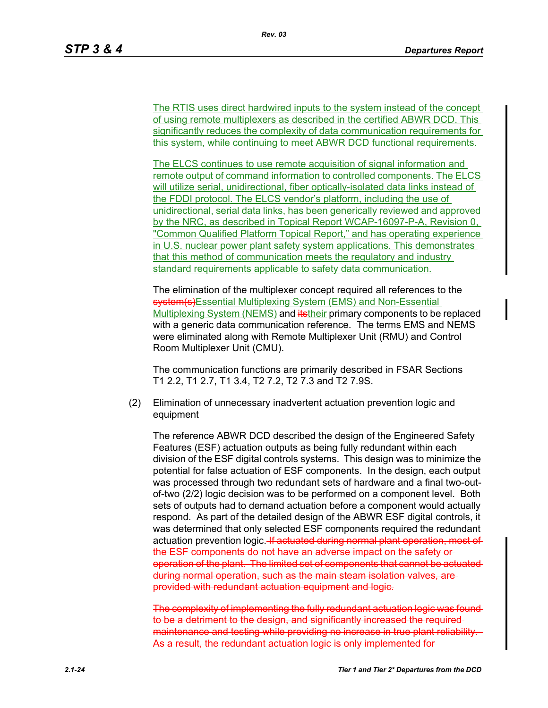The RTIS uses direct hardwired inputs to the system instead of the concept of using remote multiplexers as described in the certified ABWR DCD. This significantly reduces the complexity of data communication requirements for this system, while continuing to meet ABWR DCD functional requirements.

The ELCS continues to use remote acquisition of signal information and remote output of command information to controlled components. The ELCS will utilize serial, unidirectional, fiber optically-isolated data links instead of the FDDI protocol. The ELCS vendor's platform, including the use of unidirectional, serial data links, has been generically reviewed and approved by the NRC, as described in Topical Report WCAP-16097-P-A, Revision 0, "Common Qualified Platform Topical Report," and has operating experience in U.S. nuclear power plant safety system applications. This demonstrates that this method of communication meets the regulatory and industry standard requirements applicable to safety data communication.

The elimination of the multiplexer concept required all references to the **system(s)**Essential Multiplexing System (EMS) and Non-Essential Multiplexing System (NEMS) and itstheir primary components to be replaced with a generic data communication reference. The terms EMS and NEMS were eliminated along with Remote Multiplexer Unit (RMU) and Control Room Multiplexer Unit (CMU).

The communication functions are primarily described in FSAR Sections T1 2.2, T1 2.7, T1 3.4, T2 7.2, T2 7.3 and T2 7.9S.

(2) Elimination of unnecessary inadvertent actuation prevention logic and equipment

The reference ABWR DCD described the design of the Engineered Safety Features (ESF) actuation outputs as being fully redundant within each division of the ESF digital controls systems. This design was to minimize the potential for false actuation of ESF components. In the design, each output was processed through two redundant sets of hardware and a final two-outof-two (2/2) logic decision was to be performed on a component level. Both sets of outputs had to demand actuation before a component would actually respond. As part of the detailed design of the ABWR ESF digital controls, it was determined that only selected ESF components required the redundant actuation prevention logic. If actuated during normal plant operation, most of the ESF components do not have an adverse impact on the safety or operation of the plant. The limited set of components that cannot be actuated during normal operation, such as the main steam isolation valves, are provided with redundant actuation equipment and logic.

The complexity of implementing the fully redundant actuation logic was found to be a detriment to the design, and significantly increased the required maintenance and testing while providing no increase in true plant reliability As a result, the redundant actuation logic is only implemented for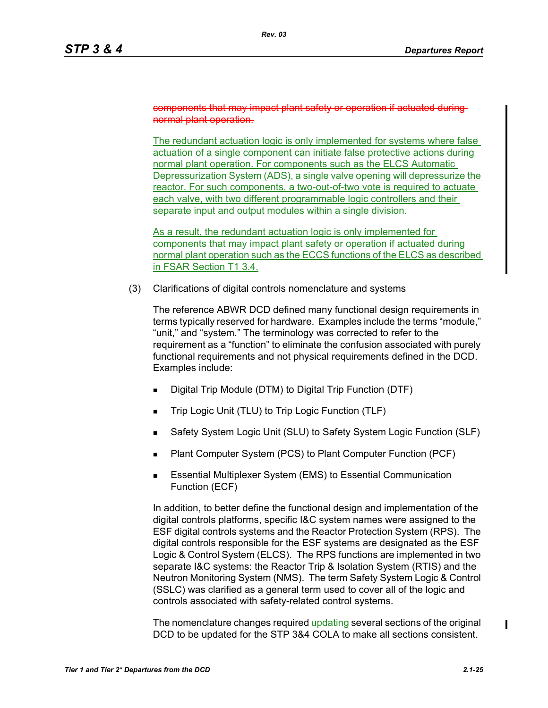#### components that may impact plant safety or operation if actuated normal plant operation.

The redundant actuation logic is only implemented for systems where false actuation of a single component can initiate false protective actions during normal plant operation. For components such as the ELCS Automatic Depressurization System (ADS), a single valve opening will depressurize the reactor. For such components, a two-out-of-two vote is required to actuate each valve, with two different programmable logic controllers and their separate input and output modules within a single division.

As a result, the redundant actuation logic is only implemented for components that may impact plant safety or operation if actuated during normal plant operation such as the ECCS functions of the ELCS as described in FSAR Section T1 3.4.

(3) Clarifications of digital controls nomenclature and systems

The reference ABWR DCD defined many functional design requirements in terms typically reserved for hardware. Examples include the terms "module," "unit," and "system." The terminology was corrected to refer to the requirement as a "function" to eliminate the confusion associated with purely functional requirements and not physical requirements defined in the DCD. Examples include:

- Digital Trip Module (DTM) to Digital Trip Function (DTF)
- Trip Logic Unit (TLU) to Trip Logic Function (TLF)
- Safety System Logic Unit (SLU) to Safety System Logic Function (SLF)
- Plant Computer System (PCS) to Plant Computer Function (PCF)
- **E** Essential Multiplexer System (EMS) to Essential Communication Function (ECF)

In addition, to better define the functional design and implementation of the digital controls platforms, specific I&C system names were assigned to the ESF digital controls systems and the Reactor Protection System (RPS). The digital controls responsible for the ESF systems are designated as the ESF Logic & Control System (ELCS). The RPS functions are implemented in two separate I&C systems: the Reactor Trip & Isolation System (RTIS) and the Neutron Monitoring System (NMS). The term Safety System Logic & Control (SSLC) was clarified as a general term used to cover all of the logic and controls associated with safety-related control systems.

The nomenclature changes required updating several sections of the original DCD to be updated for the STP 3&4 COLA to make all sections consistent.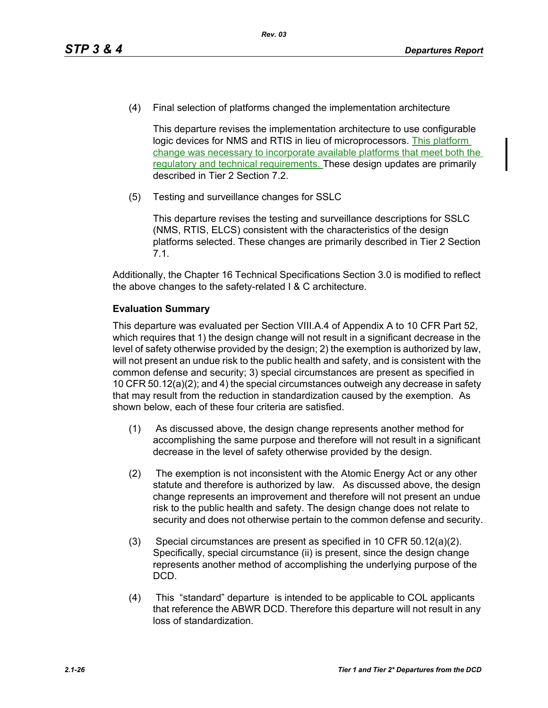(4) Final selection of platforms changed the implementation architecture

This departure revises the implementation architecture to use configurable logic devices for NMS and RTIS in lieu of microprocessors. This platform change was necessary to incorporate available platforms that meet both the regulatory and technical requirements. These design updates are primarily described in Tier 2 Section 7.2.

(5) Testing and surveillance changes for SSLC

This departure revises the testing and surveillance descriptions for SSLC (NMS, RTIS, ELCS) consistent with the characteristics of the design platforms selected. These changes are primarily described in Tier 2 Section 7.1.

Additionally, the Chapter 16 Technical Specifications Section 3.0 is modified to reflect the above changes to the safety-related I & C architecture.

## **Evaluation Summary**

This departure was evaluated per Section VIII.A.4 of Appendix A to 10 CFR Part 52, which requires that 1) the design change will not result in a significant decrease in the level of safety otherwise provided by the design; 2) the exemption is authorized by law, will not present an undue risk to the public health and safety, and is consistent with the common defense and security; 3) special circumstances are present as specified in 10 CFR 50.12(a)(2); and 4) the special circumstances outweigh any decrease in safety that may result from the reduction in standardization caused by the exemption. As shown below, each of these four criteria are satisfied.

- (1) As discussed above, the design change represents another method for accomplishing the same purpose and therefore will not result in a significant decrease in the level of safety otherwise provided by the design.
- (2) The exemption is not inconsistent with the Atomic Energy Act or any other statute and therefore is authorized by law. As discussed above, the design change represents an improvement and therefore will not present an undue risk to the public health and safety. The design change does not relate to security and does not otherwise pertain to the common defense and security.
- (3) Special circumstances are present as specified in 10 CFR 50.12(a)(2). Specifically, special circumstance (ii) is present, since the design change represents another method of accomplishing the underlying purpose of the DCD.
- (4) This "standard" departure is intended to be applicable to COL applicants that reference the ABWR DCD. Therefore this departure will not result in any loss of standardization.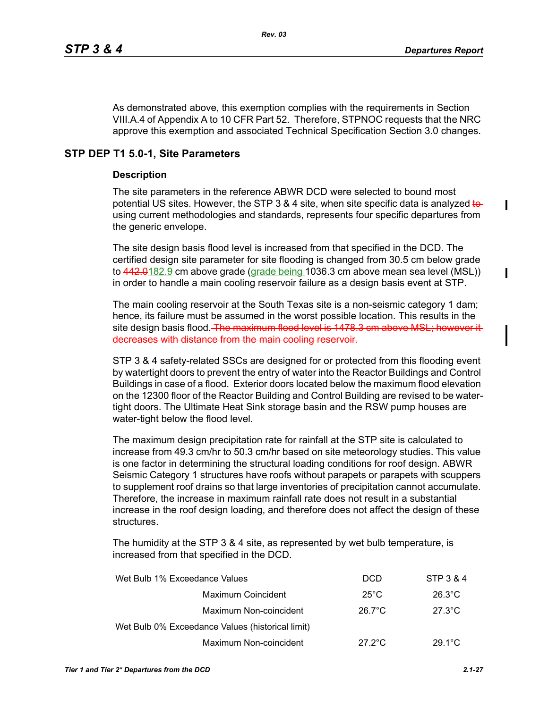I

 $\mathbf I$ 

As demonstrated above, this exemption complies with the requirements in Section VIII.A.4 of Appendix A to 10 CFR Part 52. Therefore, STPNOC requests that the NRC approve this exemption and associated Technical Specification Section 3.0 changes.

## **STP DEP T1 5.0-1, Site Parameters**

## **Description**

The site parameters in the reference ABWR DCD were selected to bound most potential US sites. However, the STP 3 & 4 site, when site specific data is analyzed to using current methodologies and standards, represents four specific departures from the generic envelope.

The site design basis flood level is increased from that specified in the DCD. The certified design site parameter for site flooding is changed from 30.5 cm below grade to  $442.0182.9$  cm above grade (grade being 1036.3 cm above mean sea level (MSL)) in order to handle a main cooling reservoir failure as a design basis event at STP.

The main cooling reservoir at the South Texas site is a non-seismic category 1 dam; hence, its failure must be assumed in the worst possible location. This results in the site design basis flood. The maximum flood level is 1478.3 cm above MSL; however it decreases with distance from the main cooling reservoir.

STP 3 & 4 safety-related SSCs are designed for or protected from this flooding event by watertight doors to prevent the entry of water into the Reactor Buildings and Control Buildings in case of a flood. Exterior doors located below the maximum flood elevation on the 12300 floor of the Reactor Building and Control Building are revised to be watertight doors. The Ultimate Heat Sink storage basin and the RSW pump houses are water-tight below the flood level.

The maximum design precipitation rate for rainfall at the STP site is calculated to increase from 49.3 cm/hr to 50.3 cm/hr based on site meteorology studies. This value is one factor in determining the structural loading conditions for roof design. ABWR Seismic Category 1 structures have roofs without parapets or parapets with scuppers to supplement roof drains so that large inventories of precipitation cannot accumulate. Therefore, the increase in maximum rainfall rate does not result in a substantial increase in the roof design loading, and therefore does not affect the design of these structures.

The humidity at the STP 3 & 4 site, as represented by wet bulb temperature, is increased from that specified in the DCD.

| Wet Bulb 1% Exceedance Values                    | <b>DCD</b>       | STP 3 & 4        |
|--------------------------------------------------|------------------|------------------|
| Maximum Coincident                               | $25^{\circ}$ C   | $26.3^{\circ}$ C |
| Maximum Non-coincident                           | $26.7^{\circ}$ C | $27.3^{\circ}$ C |
| Wet Bulb 0% Exceedance Values (historical limit) |                  |                  |
| Maximum Non-coincident                           | $27.2^{\circ}$ C | $29.1^{\circ}$ C |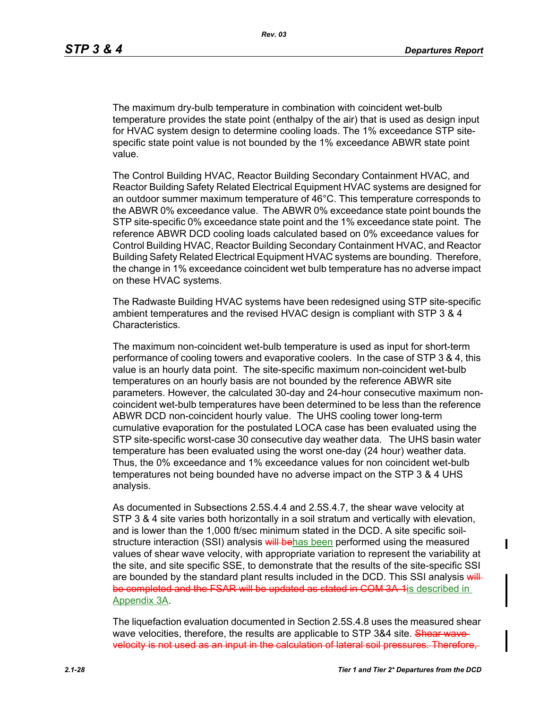The maximum dry-bulb temperature in combination with coincident wet-bulb temperature provides the state point (enthalpy of the air) that is used as design input for HVAC system design to determine cooling loads. The 1% exceedance STP sitespecific state point value is not bounded by the 1% exceedance ABWR state point value.

The Control Building HVAC, Reactor Building Secondary Containment HVAC, and Reactor Building Safety Related Electrical Equipment HVAC systems are designed for an outdoor summer maximum temperature of 46°C. This temperature corresponds to the ABWR 0% exceedance value. The ABWR 0% exceedance state point bounds the STP site-specific 0% exceedance state point and the 1% exceedance state point. The reference ABWR DCD cooling loads calculated based on 0% exceedance values for Control Building HVAC, Reactor Building Secondary Containment HVAC, and Reactor Building Safety Related Electrical Equipment HVAC systems are bounding. Therefore, the change in 1% exceedance coincident wet bulb temperature has no adverse impact on these HVAC systems.

The Radwaste Building HVAC systems have been redesigned using STP site-specific ambient temperatures and the revised HVAC design is compliant with STP 3 & 4 Characteristics.

The maximum non-coincident wet-bulb temperature is used as input for short-term performance of cooling towers and evaporative coolers. In the case of STP 3 & 4, this value is an hourly data point. The site-specific maximum non-coincident wet-bulb temperatures on an hourly basis are not bounded by the reference ABWR site parameters. However, the calculated 30-day and 24-hour consecutive maximum noncoincident wet-bulb temperatures have been determined to be less than the reference ABWR DCD non-coincident hourly value. The UHS cooling tower long-term cumulative evaporation for the postulated LOCA case has been evaluated using the STP site-specific worst-case 30 consecutive day weather data. The UHS basin water temperature has been evaluated using the worst one-day (24 hour) weather data. Thus, the 0% exceedance and 1% exceedance values for non coincident wet-bulb temperatures not being bounded have no adverse impact on the STP 3 & 4 UHS analysis.

As documented in Subsections 2.5S.4.4 and 2.5S.4.7, the shear wave velocity at STP 3 & 4 site varies both horizontally in a soil stratum and vertically with elevation, and is lower than the 1,000 ft/sec minimum stated in the DCD. A site specific soilstructure interaction (SSI) analysis will behas been performed using the measured values of shear wave velocity, with appropriate variation to represent the variability at the site, and site specific SSE, to demonstrate that the results of the site-specific SSI are bounded by the standard plant results included in the DCD. This SSI analysis will be completed and the FSAR will be updated as stated in COM 3A-1 is described in Appendix 3A.

The liquefaction evaluation documented in Section 2.5S.4.8 uses the measured shear wave velocities, therefore, the results are applicable to STP 3&4 site. Shear wavevelocity is not used as an input in the calculation of lateral soil pressures. Therefore,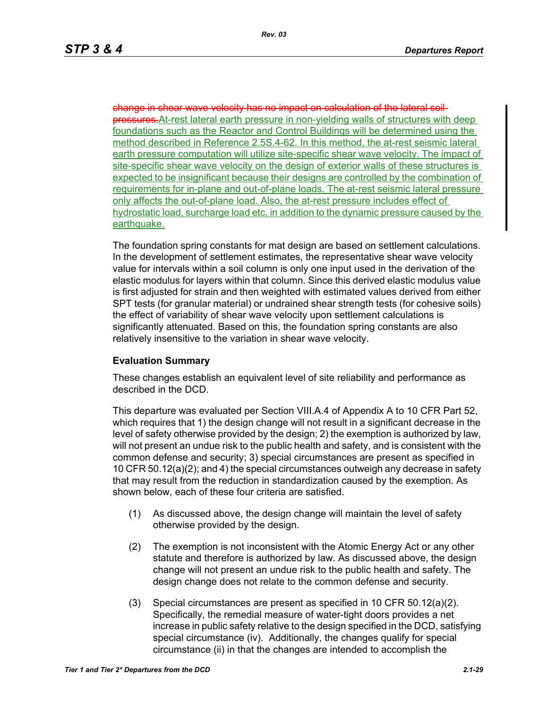shear wave velocity has no impact on calculation of the lateral soilpressures.At-rest lateral earth pressure in non-yielding walls of structures with deep foundations such as the Reactor and Control Buildings will be determined using the method described in Reference 2.5S.4-62. In this method, the at-rest seismic lateral earth pressure computation will utilize site-specific shear wave velocity. The impact of site-specific shear wave velocity on the design of exterior walls of these structures is expected to be insignificant because their designs are controlled by the combination of requirements for in-plane and out-of-plane loads. The at-rest seismic lateral pressure only affects the out-of-plane load. Also, the at-rest pressure includes effect of hydrostatic load, surcharge load etc, in addition to the dynamic pressure caused by the earthquake.

The foundation spring constants for mat design are based on settlement calculations. In the development of settlement estimates, the representative shear wave velocity value for intervals within a soil column is only one input used in the derivation of the elastic modulus for layers within that column. Since this derived elastic modulus value is first adjusted for strain and then weighted with estimated values derived from either SPT tests (for granular material) or undrained shear strength tests (for cohesive soils) the effect of variability of shear wave velocity upon settlement calculations is significantly attenuated. Based on this, the foundation spring constants are also relatively insensitive to the variation in shear wave velocity.

### **Evaluation Summary**

These changes establish an equivalent level of site reliability and performance as described in the DCD.

This departure was evaluated per Section VIII.A.4 of Appendix A to 10 CFR Part 52, which requires that 1) the design change will not result in a significant decrease in the level of safety otherwise provided by the design; 2) the exemption is authorized by law, will not present an undue risk to the public health and safety, and is consistent with the common defense and security; 3) special circumstances are present as specified in 10 CFR 50.12(a)(2); and 4) the special circumstances outweigh any decrease in safety that may result from the reduction in standardization caused by the exemption. As shown below, each of these four criteria are satisfied.

- (1) As discussed above, the design change will maintain the level of safety otherwise provided by the design.
- (2) The exemption is not inconsistent with the Atomic Energy Act or any other statute and therefore is authorized by law. As discussed above, the design change will not present an undue risk to the public health and safety. The design change does not relate to the common defense and security.
- (3) Special circumstances are present as specified in 10 CFR 50.12(a)(2). Specifically, the remedial measure of water-tight doors provides a net increase in public safety relative to the design specified in the DCD, satisfying special circumstance (iv). Additionally, the changes qualify for special circumstance (ii) in that the changes are intended to accomplish the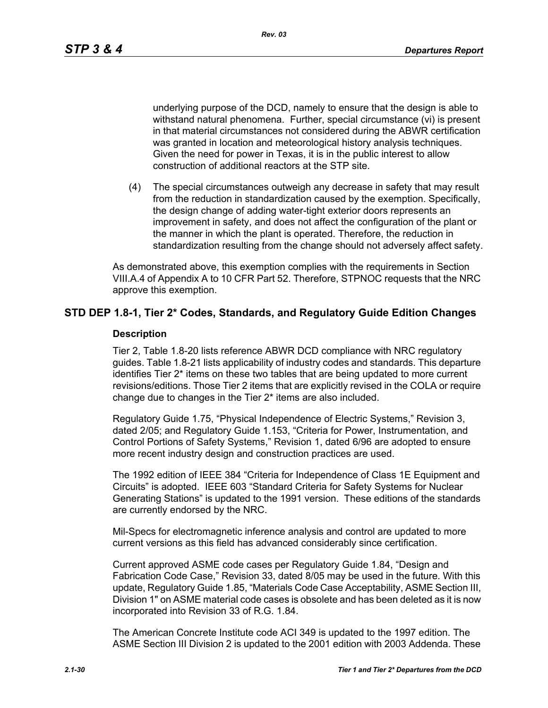*Rev. 03*

underlying purpose of the DCD, namely to ensure that the design is able to withstand natural phenomena. Further, special circumstance (vi) is present in that material circumstances not considered during the ABWR certification was granted in location and meteorological history analysis techniques. Given the need for power in Texas, it is in the public interest to allow construction of additional reactors at the STP site.

(4) The special circumstances outweigh any decrease in safety that may result from the reduction in standardization caused by the exemption. Specifically, the design change of adding water-tight exterior doors represents an improvement in safety, and does not affect the configuration of the plant or the manner in which the plant is operated. Therefore, the reduction in standardization resulting from the change should not adversely affect safety.

As demonstrated above, this exemption complies with the requirements in Section VIII.A.4 of Appendix A to 10 CFR Part 52. Therefore, STPNOC requests that the NRC approve this exemption.

## **STD DEP 1.8-1, Tier 2\* Codes, Standards, and Regulatory Guide Edition Changes**

### **Description**

Tier 2, Table 1.8-20 lists reference ABWR DCD compliance with NRC regulatory guides. Table 1.8-21 lists applicability of industry codes and standards. This departure identifies Tier 2\* items on these two tables that are being updated to more current revisions/editions. Those Tier 2 items that are explicitly revised in the COLA or require change due to changes in the Tier 2\* items are also included.

Regulatory Guide 1.75, "Physical Independence of Electric Systems," Revision 3, dated 2/05; and Regulatory Guide 1.153, "Criteria for Power, Instrumentation, and Control Portions of Safety Systems," Revision 1, dated 6/96 are adopted to ensure more recent industry design and construction practices are used.

The 1992 edition of IEEE 384 "Criteria for Independence of Class 1E Equipment and Circuits" is adopted. IEEE 603 "Standard Criteria for Safety Systems for Nuclear Generating Stations" is updated to the 1991 version. These editions of the standards are currently endorsed by the NRC.

Mil-Specs for electromagnetic inference analysis and control are updated to more current versions as this field has advanced considerably since certification.

Current approved ASME code cases per Regulatory Guide 1.84, "Design and Fabrication Code Case," Revision 33, dated 8/05 may be used in the future. With this update, Regulatory Guide 1.85, "Materials Code Case Acceptability, ASME Section III, Division 1" on ASME material code cases is obsolete and has been deleted as it is now incorporated into Revision 33 of R.G. 1.84.

The American Concrete Institute code ACI 349 is updated to the 1997 edition. The ASME Section III Division 2 is updated to the 2001 edition with 2003 Addenda. These